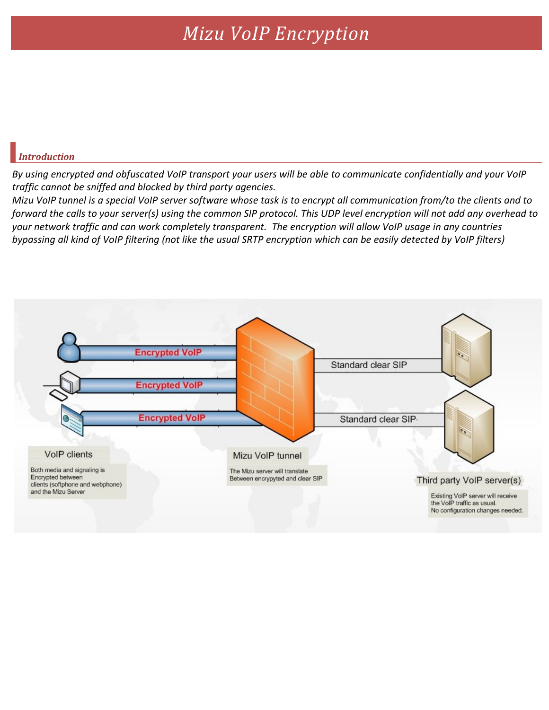## *Mizu VoIP Encryption*

## *Introduction*

*By using encrypted and obfuscated VoIP transport your users will be able to communicate confidentially and your VoIP traffic cannot be sniffed and blocked by third party agencies.* 

*Mizu VoIP tunnel is a special VoIP server software whose task is to encrypt all communication from/to the clients and to forward the calls to your server(s) using the common SIP protocol. This UDP level encryption will not add any overhead to your network traffic and can work completely transparent. The encryption will allow VoIP usage in any countries bypassing all kind of VoIP filtering (not like the usual SRTP encryption which can be easily detected by VoIP filters)*